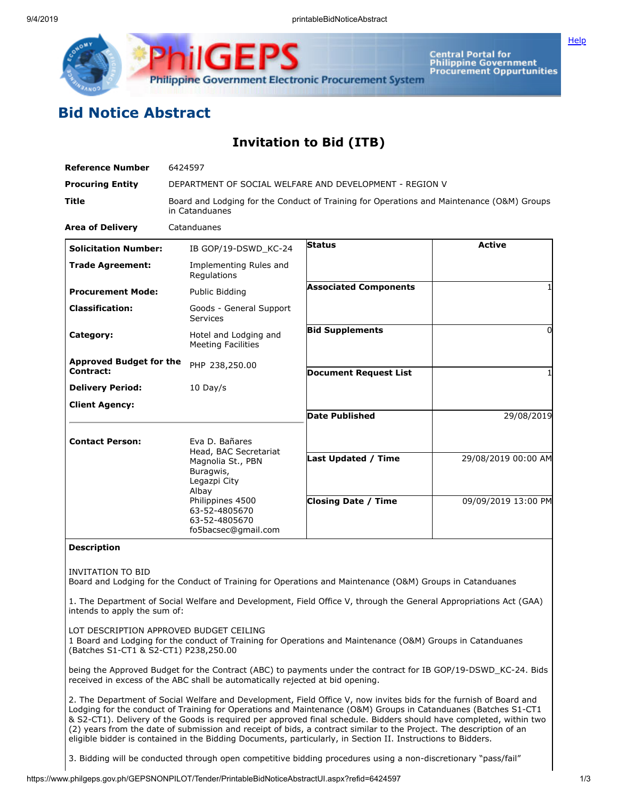

**Central Portal for<br>Philippine Government Procurement Oppurtunities**  **[Help](javascript:void(window.open()** 

## **Bid Notice Abstract**

## **Invitation to Bid (ITB)**

| <b>Reference Number</b>                     | 6424597                                                                                                                                 |                                                          |                                            |
|---------------------------------------------|-----------------------------------------------------------------------------------------------------------------------------------------|----------------------------------------------------------|--------------------------------------------|
| <b>Procuring Entity</b>                     | DEPARTMENT OF SOCIAL WELFARE AND DEVELOPMENT - REGION V                                                                                 |                                                          |                                            |
| <b>Title</b>                                | Board and Lodging for the Conduct of Training for Operations and Maintenance (O&M) Groups<br>in Catanduanes                             |                                                          |                                            |
| <b>Area of Delivery</b>                     | Catanduanes                                                                                                                             |                                                          |                                            |
| <b>Solicitation Number:</b>                 | IB GOP/19-DSWD KC-24                                                                                                                    | <b>Status</b>                                            | <b>Active</b>                              |
| <b>Trade Agreement:</b>                     | Implementing Rules and<br>Regulations                                                                                                   |                                                          |                                            |
| <b>Procurement Mode:</b>                    | Public Bidding                                                                                                                          | <b>Associated Components</b>                             |                                            |
| <b>Classification:</b>                      | Goods - General Support<br>Services                                                                                                     |                                                          |                                            |
| Category:                                   | Hotel and Lodging and<br><b>Meeting Facilities</b>                                                                                      | <b>Bid Supplements</b>                                   | $\Omega$                                   |
| <b>Approved Budget for the</b><br>Contract: | PHP 238,250.00                                                                                                                          | <b>Document Request List</b>                             |                                            |
| <b>Delivery Period:</b>                     | $10$ Day/s                                                                                                                              |                                                          |                                            |
| <b>Client Agency:</b>                       |                                                                                                                                         | <b>Date Published</b>                                    | 29/08/2019                                 |
| <b>Contact Person:</b>                      | Eva D. Bañares<br>Head, BAC Secretariat<br>Magnolia St., PBN<br>Buragwis,<br>Legazpi City<br>Albay<br>Philippines 4500<br>63-52-4805670 | <b>Last Updated / Time</b><br><b>Closing Date / Time</b> | 29/08/2019 00:00 AM<br>09/09/2019 13:00 PM |
|                                             | 63-52-4805670<br>fo5bacsec@gmail.com                                                                                                    |                                                          |                                            |

## **Description**

INVITATION TO BID

Board and Lodging for the Conduct of Training for Operations and Maintenance (O&M) Groups in Catanduanes

1. The Department of Social Welfare and Development, Field Office V, through the General Appropriations Act (GAA) intends to apply the sum of:

LOT DESCRIPTION APPROVED BUDGET CEILING

1 Board and Lodging for the conduct of Training for Operations and Maintenance (O&M) Groups in Catanduanes (Batches S1-CT1 & S2-CT1) P238,250.00

being the Approved Budget for the Contract (ABC) to payments under the contract for IB GOP/19-DSWD\_KC-24. Bids received in excess of the ABC shall be automatically rejected at bid opening.

2. The Department of Social Welfare and Development, Field Office V, now invites bids for the furnish of Board and Lodging for the conduct of Training for Operations and Maintenance (O&M) Groups in Catanduanes (Batches S1-CT1 & S2-CT1). Delivery of the Goods is required per approved final schedule. Bidders should have completed, within two (2) years from the date of submission and receipt of bids, a contract similar to the Project. The description of an eligible bidder is contained in the Bidding Documents, particularly, in Section II. Instructions to Bidders.

3. Bidding will be conducted through open competitive bidding procedures using a non-discretionary "pass/fail"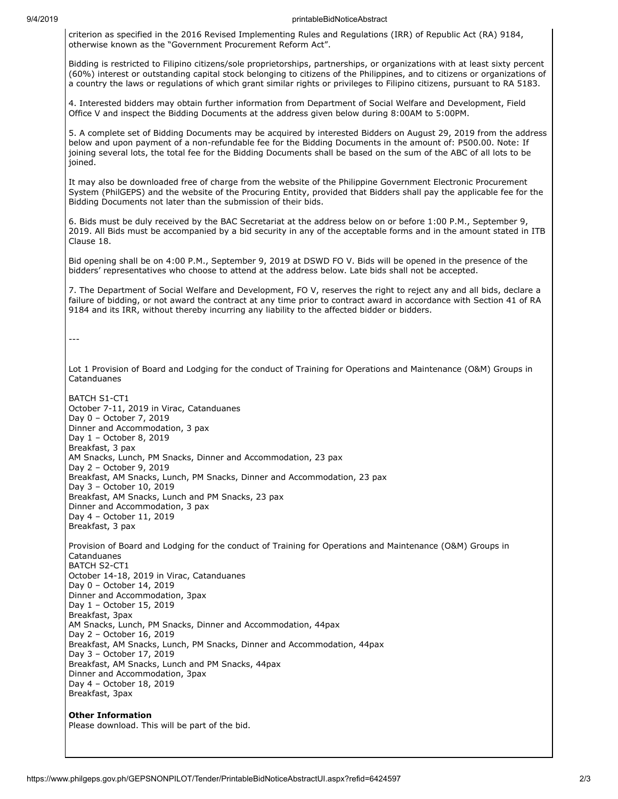## 9/4/2019 printableBidNoticeAbstract

criterion as specified in the 2016 Revised Implementing Rules and Regulations (IRR) of Republic Act (RA) 9184, otherwise known as the "Government Procurement Reform Act".

Bidding is restricted to Filipino citizens/sole proprietorships, partnerships, or organizations with at least sixty percent (60%) interest or outstanding capital stock belonging to citizens of the Philippines, and to citizens or organizations of a country the laws or regulations of which grant similar rights or privileges to Filipino citizens, pursuant to RA 5183.

4. Interested bidders may obtain further information from Department of Social Welfare and Development, Field Office V and inspect the Bidding Documents at the address given below during 8:00AM to 5:00PM.

5. A complete set of Bidding Documents may be acquired by interested Bidders on August 29, 2019 from the address below and upon payment of a non-refundable fee for the Bidding Documents in the amount of: P500.00. Note: If joining several lots, the total fee for the Bidding Documents shall be based on the sum of the ABC of all lots to be joined.

It may also be downloaded free of charge from the website of the Philippine Government Electronic Procurement System (PhilGEPS) and the website of the Procuring Entity, provided that Bidders shall pay the applicable fee for the Bidding Documents not later than the submission of their bids.

6. Bids must be duly received by the BAC Secretariat at the address below on or before 1:00 P.M., September 9, 2019. All Bids must be accompanied by a bid security in any of the acceptable forms and in the amount stated in ITB Clause 18.

Bid opening shall be on 4:00 P.M., September 9, 2019 at DSWD FO V. Bids will be opened in the presence of the bidders' representatives who choose to attend at the address below. Late bids shall not be accepted.

7. The Department of Social Welfare and Development, FO V, reserves the right to reject any and all bids, declare a failure of bidding, or not award the contract at any time prior to contract award in accordance with Section 41 of RA 9184 and its IRR, without thereby incurring any liability to the affected bidder or bidders.

---

Lot 1 Provision of Board and Lodging for the conduct of Training for Operations and Maintenance (O&M) Groups in Catanduanes

BATCH S1-CT1 October 7-11, 2019 in Virac, Catanduanes Day 0 – October 7, 2019 Dinner and Accommodation, 3 pax Day 1 – October 8, 2019 Breakfast, 3 pax AM Snacks, Lunch, PM Snacks, Dinner and Accommodation, 23 pax Day 2 – October 9, 2019 Breakfast, AM Snacks, Lunch, PM Snacks, Dinner and Accommodation, 23 pax Day 3 – October 10, 2019 Breakfast, AM Snacks, Lunch and PM Snacks, 23 pax Dinner and Accommodation, 3 pax Day 4 – October 11, 2019 Breakfast, 3 pax Provision of Board and Lodging for the conduct of Training for Operations and Maintenance (O&M) Groups in Catanduanes BATCH S2-CT1 October 14-18, 2019 in Virac, Catanduanes Day 0 – October 14, 2019 Dinner and Accommodation, 3pax Day 1 – October 15, 2019 Breakfast, 3pax AM Snacks, Lunch, PM Snacks, Dinner and Accommodation, 44pax Day 2 – October 16, 2019 Breakfast, AM Snacks, Lunch, PM Snacks, Dinner and Accommodation, 44pax Day 3 – October 17, 2019 Breakfast, AM Snacks, Lunch and PM Snacks, 44pax Dinner and Accommodation, 3pax Day 4 – October 18, 2019 Breakfast, 3pax

**Other Information** Please download. This will be part of the bid.